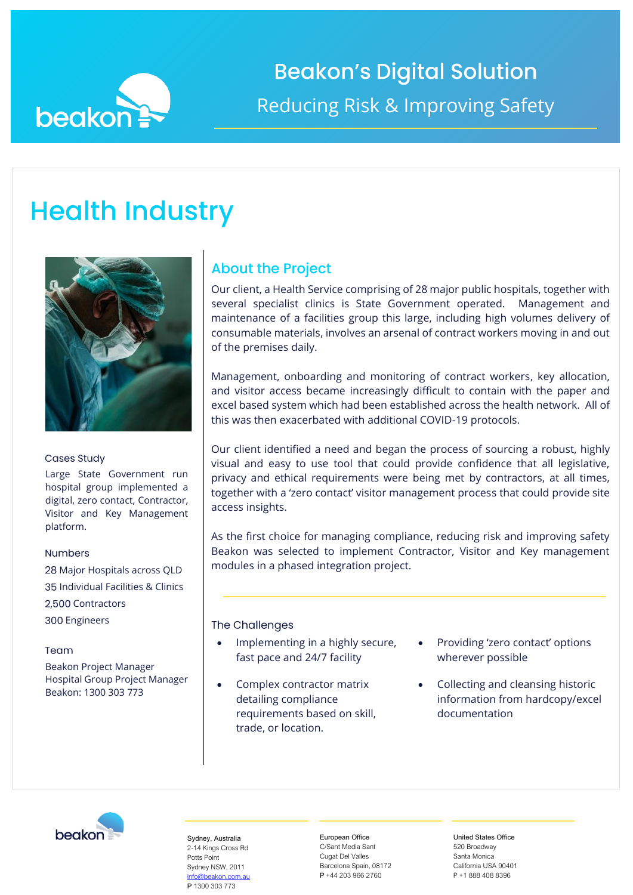

# **Beakon's Digital Solution** Reducing Risk & Improving Safety

## **Health Industry**



### **Cases Study**

Large State Government run hospital group implemented a digital, zero contact, Contractor, Visitor and Key Management platform.

### **Numbers**

28 Major Hospitals across QLD Individual Facilities & Clinics 2,500 Contractors 300 Engineers

### Team

Beakon Project Manager Hospital Group Project Manager Beakon: 1300 303 773

## **About the Project**

Our client, a Health Service comprising of 28 major public hospitals, together with several specialist clinics is State Government operated. Management and maintenance of a facilities group this large, including high volumes delivery of consumable materials, involves an arsenal of contract workers moving in and out of the premises daily.

Management, onboarding and monitoring of contract workers, key allocation, and visitor access became increasingly difficult to contain with the paper and excel based system which had been established across the health network. All of this was then exacerbated with additional COVID-19 protocols.

Our client identified a need and began the process of sourcing a robust, highly visual and easy to use tool that could provide confidence that all legislative, privacy and ethical requirements were being met by contractors, at all times, together with a 'zero contact' visitor management process that could provide site access insights.

As the first choice for managing compliance, reducing risk and improving safety Beakon was selected to implement Contractor, Visitor and Key management modules in a phased integration project.

The Challenges

- Implementing in a highly secure, fast pace and 24/7 facility
- Complex contractor matrix detailing compliance requirements based on skill, trade, or location.
- Providing 'zero contact' options wherever possible
- Collecting and cleansing historic information from hardcopy/excel documentation



Sydney, Australia 2-14 Kings Cross Rd Potts Point Sydney NSW, 2011 [info@beakon.com.au](mailto:info@beakon.com.au) P 1300 303 773

European Office C/Sant Media Sant Cugat Del Valles Barcelona Spain, 08172 P +44 203 966 2760

United States Office 520 Broadway Santa Monica California USA 90401 P +1 888 408 8396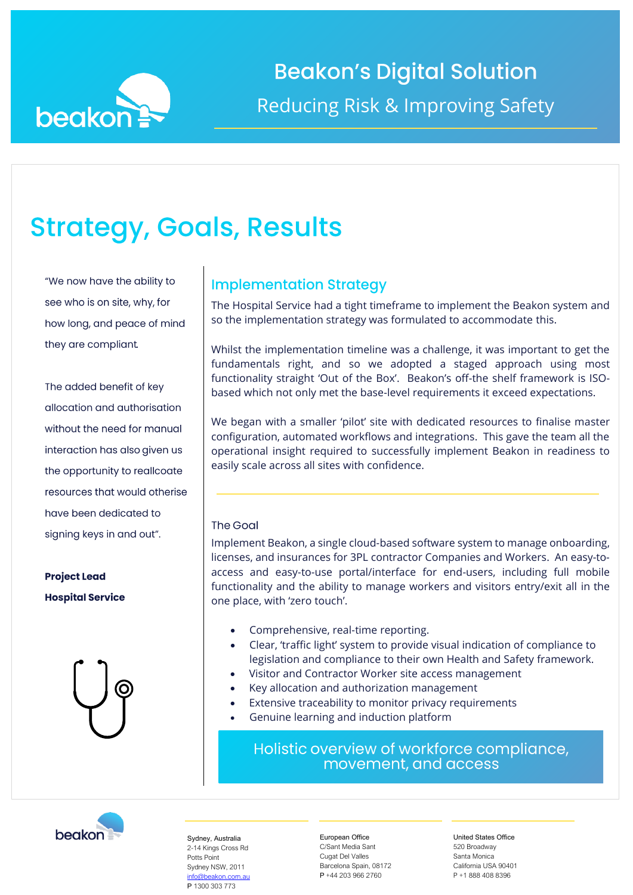

# **Strategy, Goals, Results**

"We now have the ability to see who is on site, why, for how long, and peace of mind they are compliant.

The added benefit of key allocation and authorisation without the need for manual interaction has also given us the opportunity to reallcoate resources that would otherise have been dedicated to signing keys in and out".

**Project Lead Hospital Service** 



### **Implementation Strategy**

The Hospital Service had a tight timeframe to implement the Beakon system and so the implementation strategy was formulated to accommodate this.

Whilst the implementation timeline was a challenge, it was important to get the fundamentals right, and so we adopted a staged approach using most functionality straight 'Out of the Box'. Beakon's off-the shelf framework is ISObased which not only met the base-level requirements it exceed expectations.

We began with a smaller 'pilot' site with dedicated resources to finalise master configuration, automated workflows and integrations. This gave the team all the operational insight required to successfully implement Beakon in readiness to easily scale across all sites with confidence.

### The Goal

Implement Beakon, a single cloud-based software system to manage onboarding, licenses, and insurances for 3PL contractor Companies and Workers. An easy-toaccess and easy-to-use portal/interface for end-users, including full mobile functionality and the ability to manage workers and visitors entry/exit all in the one place, with 'zero touch'.

- Comprehensive, real-time reporting.
- Clear, 'traffic light' system to provide visual indication of compliance to legislation and compliance to their own Health and Safety framework.
- Visitor and Contractor Worker site access management
- Key allocation and authorization management
- Extensive traceability to monitor privacy requirements
- Genuine learning and induction platform

Holistic overview of workforce compliance, movement, and access



Sydney, Australia 2-14 Kings Cross Rd Potts Point Sydney NSW, 2011 [info@beakon.com.au](mailto:info@beakon.com.au) P 1300 303 773

European Office C/Sant Media Sant Cugat Del Valles Barcelona Spain, 08172 P +44 203 966 2760

United States Office 520 Broadway Santa Monica California USA 90401 P +1 888 408 8396